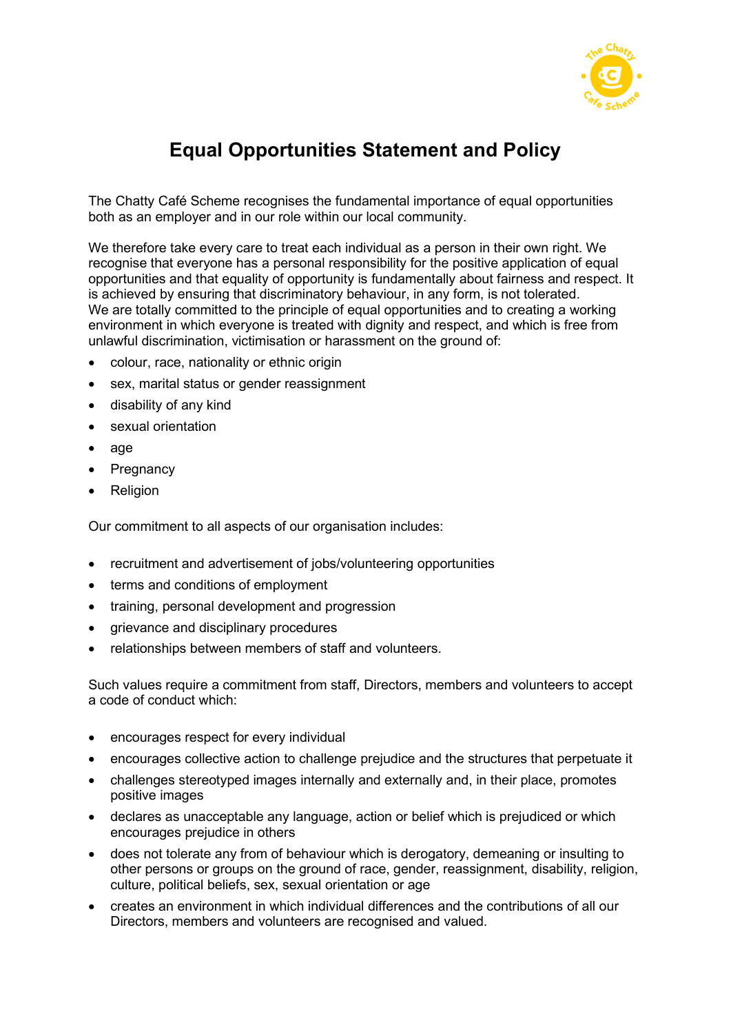

## Equal Opportunities Statement and Policy

The Chatty Café Scheme recognises the fundamental importance of equal opportunities both as an employer and in our role within our local community.

We therefore take every care to treat each individual as a person in their own right. We recognise that everyone has a personal responsibility for the positive application of equal opportunities and that equality of opportunity is fundamentally about fairness and respect. It is achieved by ensuring that discriminatory behaviour, in any form, is not tolerated. We are totally committed to the principle of equal opportunities and to creating a working environment in which everyone is treated with dignity and respect, and which is free from unlawful discrimination, victimisation or harassment on the ground of:

- colour, race, nationality or ethnic origin
- sex, marital status or gender reassignment
- disability of any kind
- sexual orientation
- age
- Pregnancy
- Religion

Our commitment to all aspects of our organisation includes:

- recruitment and advertisement of jobs/volunteering opportunities
- terms and conditions of employment
- training, personal development and progression
- grievance and disciplinary procedures
- relationships between members of staff and volunteers.

Such values require a commitment from staff, Directors, members and volunteers to accept a code of conduct which:

- encourages respect for every individual
- encourages collective action to challenge prejudice and the structures that perpetuate it
- challenges stereotyped images internally and externally and, in their place, promotes positive images
- declares as unacceptable any language, action or belief which is prejudiced or which encourages prejudice in others
- does not tolerate any from of behaviour which is derogatory, demeaning or insulting to other persons or groups on the ground of race, gender, reassignment, disability, religion, culture, political beliefs, sex, sexual orientation or age
- creates an environment in which individual differences and the contributions of all our Directors, members and volunteers are recognised and valued.